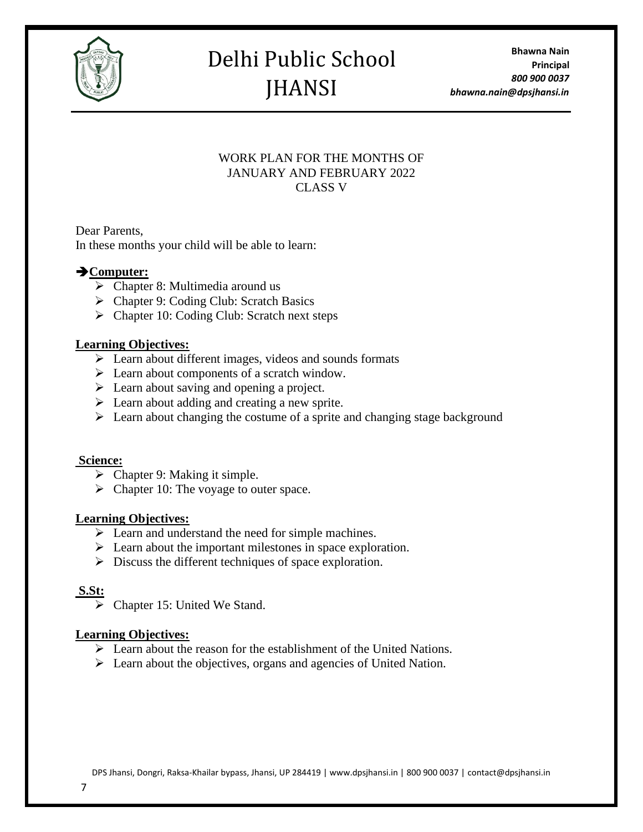

**Bhawna Nain Principal** *800 900 0037 bhawna.nain@dpsjhansi.in*

# WORK PLAN FOR THE MONTHS OF JANUARY AND FEBRUARY 2022 CLASS V

Dear Parents, In these months your child will be able to learn:

# ➔**Computer:**

- $\triangleright$  Chapter 8: Multimedia around us
- ➢ Chapter 9: Coding Club: Scratch Basics
- ➢ Chapter 10: Coding Club: Scratch next steps

# **Learning Objectives:**

- ➢ Learn about different images, videos and sounds formats
- ➢ Learn about components of a scratch window.
- $\triangleright$  Learn about saving and opening a project.
- $\triangleright$  Learn about adding and creating a new sprite.
- $\triangleright$  Learn about changing the costume of a sprite and changing stage background

### **Science:**

- $\triangleright$  Chapter 9: Making it simple.
- $\triangleright$  Chapter 10: The voyage to outer space.

# **Learning Objectives:**

- ➢ Learn and understand the need for simple machines.
- ➢ Learn about the important milestones in space exploration.
- ➢ Discuss the different techniques of space exploration.

# **S.St:**

➢ Chapter 15: United We Stand.

# **Learning Objectives:**

- ➢ Learn about the reason for the establishment of the United Nations.
- ➢ Learn about the objectives, organs and agencies of United Nation.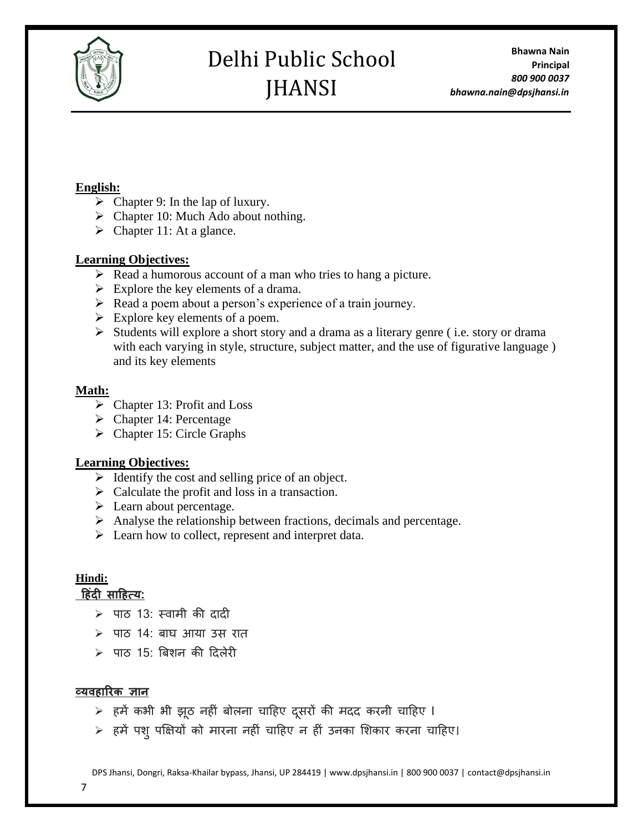

**Bhawna Nain Principal** *800 900 0037 bhawna.nain@dpsjhansi.in*

## **English:**

- $\triangleright$  Chapter 9: In the lap of luxury.
- $\triangleright$  Chapter 10: Much Ado about nothing.
- $\triangleright$  Chapter 11: At a glance.

# **Learning Objectives:**

- ➢ Read a humorous account of a man who tries to hang a picture.
- $\triangleright$  Explore the key elements of a drama.
- ➢ Read a poem about a person's experience of a train journey.
- $\triangleright$  Explore key elements of a poem.
- ➢ Students will explore a short story and a drama as a literary genre ( i.e. story or drama with each varying in style, structure, subject matter, and the use of figurative language ) and its key elements

# **Math:**

- ➢ Chapter 13: Profit and Loss
- $\triangleright$  Chapter 14: Percentage
- ➢ Chapter 15: Circle Graphs

# **Learning Objectives:**

- $\triangleright$  Identify the cost and selling price of an object.
- $\triangleright$  Calculate the profit and loss in a transaction.
- ➢ Learn about percentage.
- ➢ Analyse the relationship between fractions, decimals and percentage.
- ➢ Learn how to collect, represent and interpret data.

# **Hindi:**

# **ह िंदी साह त्य:**

- ➢ पाठ 13: स्वामी की दादी
- $>$  पाठ 14: बाघ आया उस रात
- $>$  पाठ 15: बिशन की दिलेरी

# **व्यव ारिक ज्ञान**

- $>$  हमें कभी भी झूठ नहीं बोलना चाहिए दुसरों की मदद करनी चाहिए I
- $>$  हमें पशु पक्षियों को मारना नहीं चाहिए न हीं उनका शिकार करना चाहिए।

DPS Jhansi, Dongri, Raksa-Khailar bypass, Jhansi, UP 284419 | www.dpsjhansi.in | 800 900 0037 | contact@dpsjhansi.in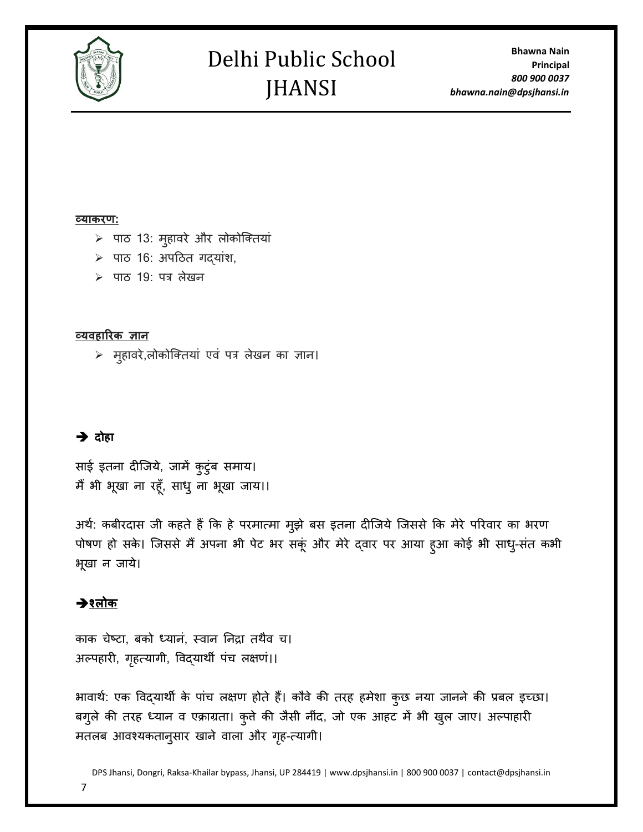

**Bhawna Nain Principal** *800 900 0037 bhawna.nain@dpsjhansi.in*

#### **व्याकिण:**

- $>$  पाठ 13: मुहावरे और लोकोक्तियां
- $>$  पाठ 16: अपठित गद्यांश,
- $>$  पाठ 19: पत्र लेखन

#### **व्यव ारिक ज्ञान**

 $>$  मुहावरे,लोकोक्तियां एवं पत्र लेखन का ज्ञान।

### ➔ **दोहा**

साई इतना दीजिये, जामें कुटुंब समाय। मैं भी भूखा ना रहूँ, साधु ना भूखा जाय।।

अर्थ: कबीरदास जी कहते हैं कि हे परमात्मा मुझे बस इतना दीजिये जिससे कि मेरे परिवार का भरण पोषण हो सके। जिससे मैं अपना भी पेट भर सकूं और मेरे दवार पर आया हुआ कोई भी साधु-संत कभी भूखा न जाये।

# ➔**श्लोक**

काक चेष्टा, बको ध्यानं, स्वान निद्रा तथैव च। अल्पहारी, गृहत्यागी, विद्यार्थी पंच लक्षणं।।

भावार्थ: एक विद्यार्थी के पांच लक्षण होते हैं। कौवे की तरह हमेशा कुछ नया जानने की प्रबल इच्छा। बगुले की तरह ध्यान व एक्राग्रता। कुत्ते की जैसी नींद, जो एक आहट में भी खुल जाए। अल्पाहारी मतलब आवश्यकतानुसार खाने वाला और गहृ-त्यागी।

DPS Jhansi, Dongri, Raksa-Khailar bypass, Jhansi, UP 284419 | www.dpsjhansi.in | 800 900 0037 | contact@dpsjhansi.in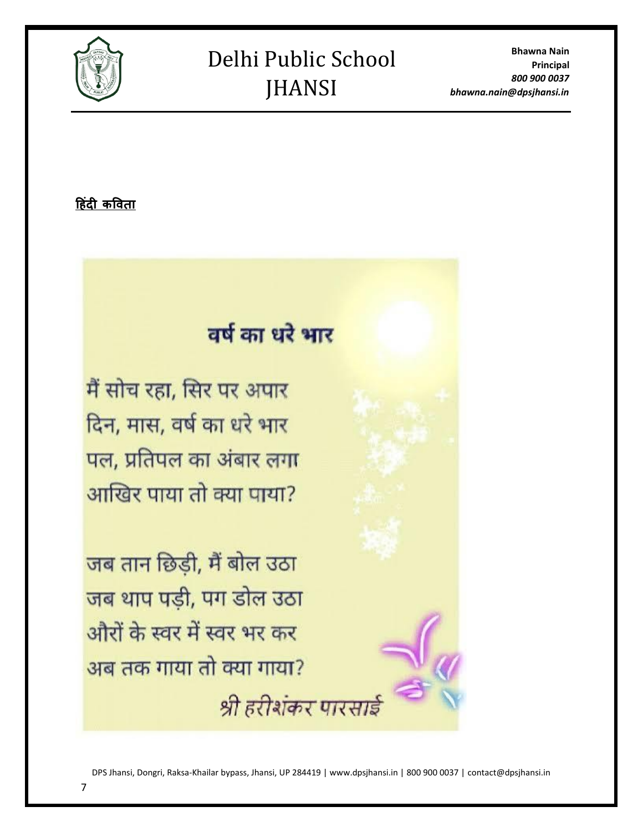

**Bhawna Nain Principal** *800 900 0037 bhawna.nain@dpsjhansi.in*

**ह िंदी कववता**

# वर्ष का धरे भार

मैं सोच रहा, सिर पर अपार दिन, मास, वर्ष का धरे भार पल, प्रतिपल का अंबार लगा आखिर पाया तो क्या पाया?

जब तान छिड़ी, मैं बोल उठा जब थाप पड़ी, पग डोल उठा औरों के स्वर में स्वर भर कर अब तक गाया तो क्या गाया? श्री हरीशंकर पारसाः